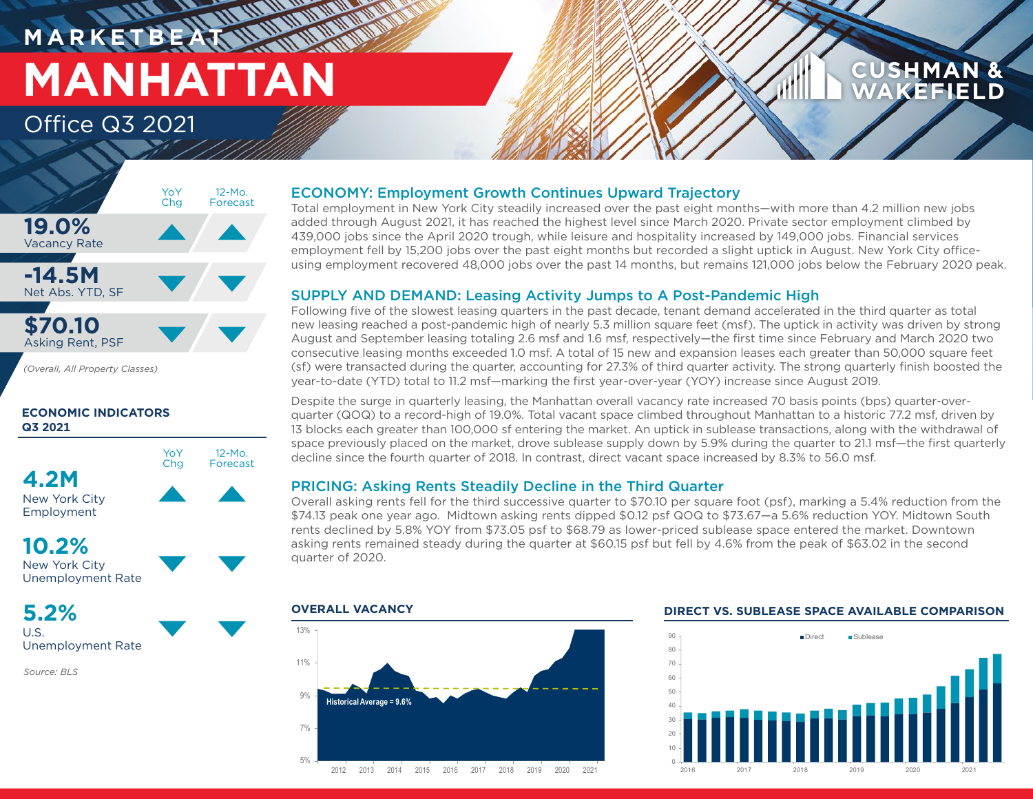### **M A R K E T B E AT MANHATTAN** Office Q3 2021

### **CUSHMAN & AKEFIELD**



*(Overall, All Property Classes)*

#### **ECONOMIC INDICATORS Q3 2021**



### **10.2%**

New York City Unemployment Rate

**5.2%** U.S.

Unemployment Rate

*Source: BLS*

### ECONOMY: Employment Growth Continues Upward Trajectory

Total employment in New York City steadily increased over the past eight months—with more than 4.2 million new jobs added through August 2021, it has reached the highest level since March 2020. Private sector employment climbed by 439,000 jobs since the April 2020 trough, while leisure and hospitality increased by 149,000 jobs. Financial services employment fell by 15,200 jobs over the past eight months but recorded a slight uptick in August. New York City officeusing employment recovered 48,000 jobs over the past 14 months, but remains 121,000 jobs below the February 2020 peak.

### SUPPLY AND DEMAND: Leasing Activity Jumps to A Post-Pandemic High

Following five of the slowest leasing quarters in the past decade, tenant demand accelerated in the third quarter as total new leasing reached a post-pandemic high of nearly 5.3 million square feet (msf). The uptick in activity was driven by strong August and September leasing totaling 2.6 msf and 1.6 msf, respectively—the first time since February and March 2020 two consecutive leasing months exceeded 1.0 msf. A total of 15 new and expansion leases each greater than 50,000 square feet (sf) were transacted during the quarter, accounting for 27.3% of third quarter activity. The strong quarterly finish boosted the year-to-date (YTD) total to 11.2 msf—marking the first year-over-year (YOY) increase since August 2019.

Despite the surge in quarterly leasing, the Manhattan overall vacancy rate increased 70 basis points (bps) quarter-overquarter (QOQ) to a record-high of 19.0%. Total vacant space climbed throughout Manhattan to a historic 77.2 msf, driven by 13 blocks each greater than 100,000 sf entering the market. An uptick in sublease transactions, along with the withdrawal of space previously placed on the market, drove sublease supply down by 5.9% during the quarter to 21.1 msf—the first quarterly decline since the fourth quarter of 2018. In contrast, direct vacant space increased by 8.3% to 56.0 msf.

### PRICING: Asking Rents Steadily Decline in the Third Quarter

Overall asking rents fell for the third successive quarter to \$70.10 per square foot (psf), marking a 5.4% reduction from the \$74.13 peak one year ago. Midtown asking rents dipped \$0.12 psf QOQ to \$73.67—a 5.6% reduction YOY. Midtown South rents declined by 5.8% YOY from \$73.05 psf to \$68.79 as lower-priced sublease space entered the market. Downtown asking rents remained steady during the quarter at \$60.15 psf but fell by 4.6% from the peak of \$63.02 in the second quarter of 2020.



#### **OVERALL VACANCY DIRECT VS. SUBLEASE SPACE AVAILABLE COMPARISON**

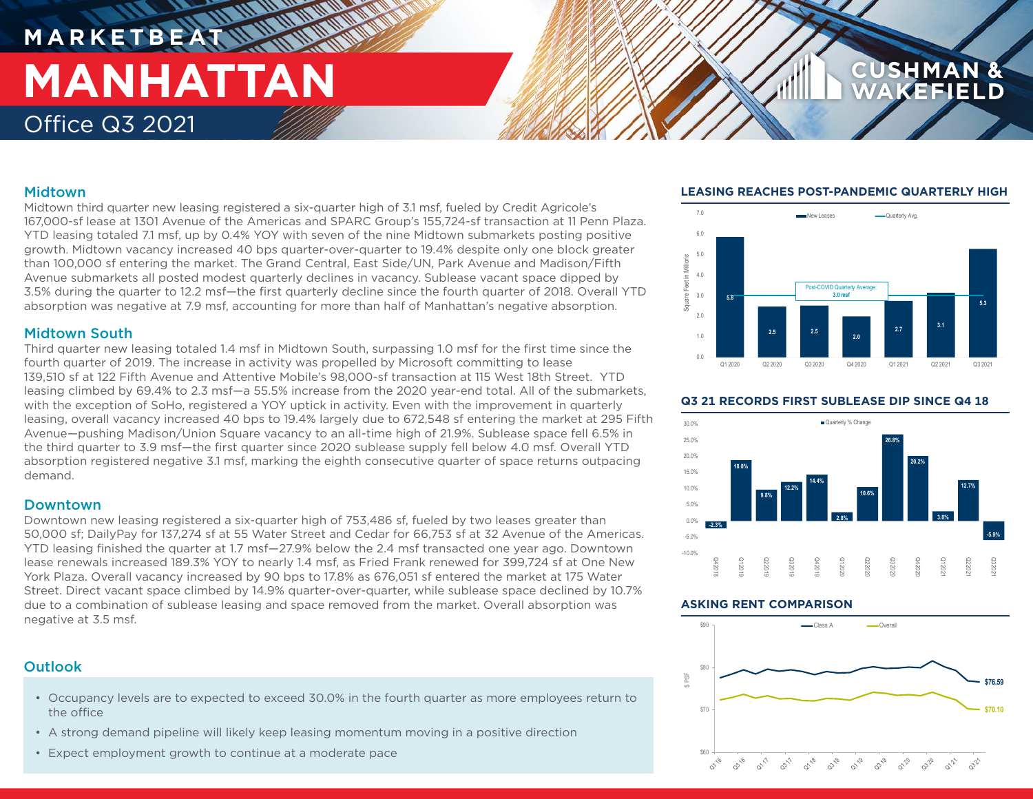## **MARKETBE MANHATTAN** Office Q3 2021

#### Midtown

Midtown third quarter new leasing registered a six-quarter high of 3.1 msf, fueled by Credit Agricole's 167,000-sf lease at 1301 Avenue of the Americas and SPARC Group's 155,724-sf transaction at 11 Penn Plaza. YTD leasing totaled 7.1 msf, up by 0.4% YOY with seven of the nine Midtown submarkets posting positive growth. Midtown vacancy increased 40 bps quarter-over-quarter to 19.4% despite only one block greater than 100,000 sf entering the market. The Grand Central, East Side/UN, Park Avenue and Madison/Fifth Avenue submarkets all posted modest quarterly declines in vacancy. Sublease vacant space dipped by 3.5% during the quarter to 12.2 msf—the first quarterly decline since the fourth quarter of 2018. Overall YTD absorption was negative at 7.9 msf, accounting for more than half of Manhattan's negative absorption.

#### Midtown South

Third quarter new leasing totaled 1.4 msf in Midtown South, surpassing 1.0 msf for the first time since the fourth quarter of 2019. The increase in activity was propelled by Microsoft committing to lease 139,510 sf at 122 Fifth Avenue and Attentive Mobile's 98,000-sf transaction at 115 West 18th Street. YTD leasing climbed by 69.4% to 2.3 msf—a 55.5% increase from the 2020 year-end total. All of the submarkets, with the exception of SoHo, registered a YOY uptick in activity. Even with the improvement in quarterly leasing, overall vacancy increased 40 bps to 19.4% largely due to 672,548 sf entering the market at 295 Fifth Avenue—pushing Madison/Union Square vacancy to an all-time high of 21.9%. Sublease space fell 6.5% in the third quarter to 3.9 msf—the first quarter since 2020 sublease supply fell below 4.0 msf. Overall YTD absorption registered negative 3.1 msf, marking the eighth consecutive quarter of space returns outpacing demand.

#### Downtown

Downtown new leasing registered a six-quarter high of 753,486 sf, fueled by two leases greater than 50,000 sf; DailyPay for 137,274 sf at 55 Water Street and Cedar for 66,753 sf at 32 Avenue of the Americas. YTD leasing finished the quarter at 1.7 msf—27.9% below the 2.4 msf transacted one year ago. Downtown lease renewals increased 189.3% YOY to nearly 1.4 msf, as Fried Frank renewed for 399,724 sf at One New York Plaza. Overall vacancy increased by 90 bps to 17.8% as 676,051 sf entered the market at 175 Water Street. Direct vacant space climbed by 14.9% quarter-over-quarter, while sublease space declined by 10.7% due to a combination of sublease leasing and space removed from the market. Overall absorption was negative at 3.5 msf.

### **Outlook**

- Occupancy levels are to expected to exceed 30.0% in the fourth quarter as more employees return to the office
- A strong demand pipeline will likely keep leasing momentum moving in a positive direction
- Expect employment growth to continue at a moderate pace

#### **LEASING REACHES POST-PANDEMIC QUARTERLY HIGH**



#### **Q3 21 RECORDS FIRST SUBLEASE DIP SINCE Q4 18**



#### **ASKING RENT COMPARISON**

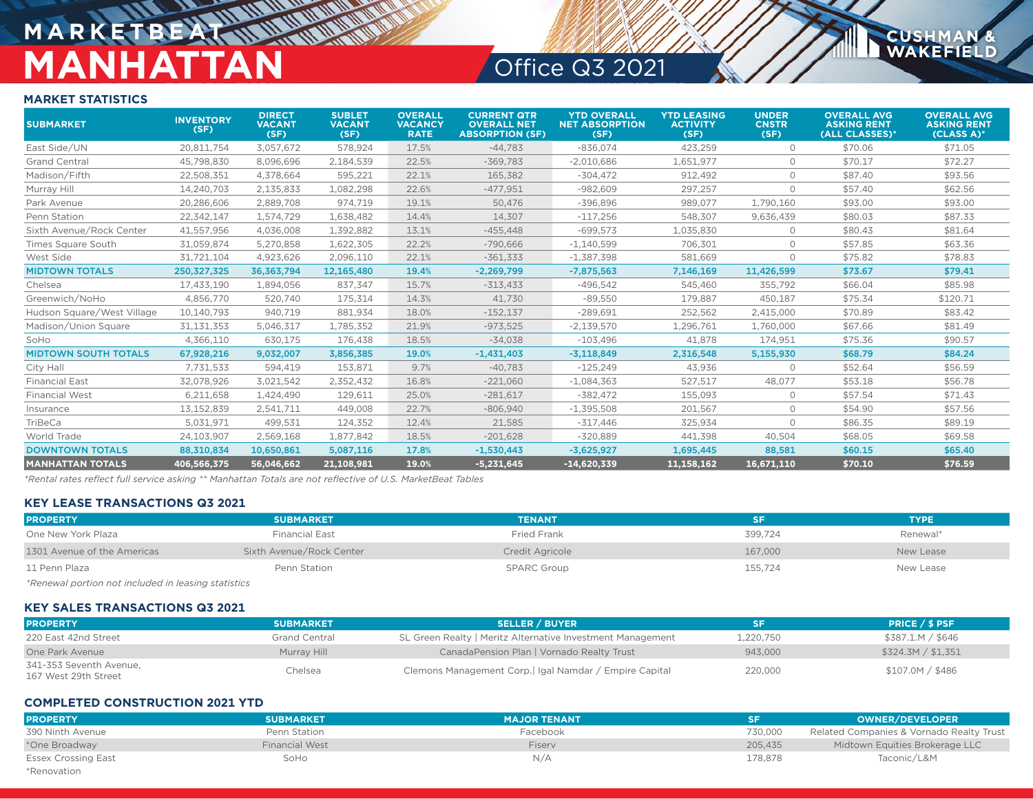# **MARKETBEA MANHATTAN** Office Q3 2021

**CUSHMAN &**<br>WAKEFIELD

#### **MARKET STATISTICS**

| <b>SUBMARKET</b>            | <b>INVENTORY</b><br>(SF) | <b>DIRECT</b><br><b>VACANT</b><br>(SF) | <b>SUBLET</b><br><b>VACANT</b><br>(SF) | <b>OVERALL</b><br><b>VACANCY</b><br><b>RATE</b> | <b>CURRENT QTR</b><br><b>OVERALL NET</b><br><b>ABSORPTION (SF)</b> | <b>YTD OVERALL</b><br><b>NET ABSORPTION</b><br>(SF) | <b>YTD LEASING</b><br><b>ACTIVITY</b><br>(SF) | <b>UNDER</b><br><b>CNSTR</b><br>(SF) | <b>OVERALL AVG</b><br><b>ASKING RENT</b><br>(ALL CLASSES)* | <b>OVERALL AVG</b><br><b>ASKING RENT</b><br>$(CLASS A)$ * |
|-----------------------------|--------------------------|----------------------------------------|----------------------------------------|-------------------------------------------------|--------------------------------------------------------------------|-----------------------------------------------------|-----------------------------------------------|--------------------------------------|------------------------------------------------------------|-----------------------------------------------------------|
| East Side/UN                | 20.811.754               | 3,057,672                              | 578,924                                | 17.5%                                           | $-44,783$                                                          | $-836,074$                                          | 423,259                                       | $\circ$                              | \$70.06                                                    | \$71.05                                                   |
| <b>Grand Central</b>        | 45,798,830               | 8,096,696                              | 2,184,539                              | 22.5%                                           | $-369,783$                                                         | $-2,010,686$                                        | 1,651,977                                     | $\circ$                              | \$70.17                                                    | \$72.27                                                   |
| Madison/Fifth               | 22,508,351               | 4,378,664                              | 595,221                                | 22.1%                                           | 165,382                                                            | $-304,472$                                          | 912,492                                       | $\circ$                              | \$87.40                                                    | \$93.56                                                   |
| Murray Hill                 | 14,240,703               | 2,135,833                              | 1,082,298                              | 22.6%                                           | $-477,951$                                                         | $-982,609$                                          | 297,257                                       | $\circ$                              | \$57.40                                                    | \$62.56                                                   |
| Park Avenue                 | 20.286.606               | 2,889,708                              | 974,719                                | 19.1%                                           | 50.476                                                             | $-396.896$                                          | 989.077                                       | 1,790,160                            | \$93.00                                                    | \$93.00                                                   |
| Penn Station                | 22,342,147               | 1,574,729                              | 1,638,482                              | 14.4%                                           | 14,307                                                             | $-117.256$                                          | 548.307                                       | 9,636,439                            | \$80.03                                                    | \$87.33                                                   |
| Sixth Avenue/Rock Center    | 41,557,956               | 4,036,008                              | 1,392,882                              | 13.1%                                           | $-455,448$                                                         | $-699,573$                                          | 1,035,830                                     | $\circ$                              | \$80.43                                                    | \$81.64                                                   |
| <b>Times Square South</b>   | 31,059,874               | 5,270,858                              | 1,622,305                              | 22.2%                                           | $-790,666$                                                         | $-1,140,599$                                        | 706,301                                       | $\circ$                              | \$57.85                                                    | \$63.36                                                   |
| West Side                   | 31,721,104               | 4,923,626                              | 2,096,110                              | 22.1%                                           | $-361,333$                                                         | $-1,387,398$                                        | 581,669                                       | $\circ$                              | \$75.82                                                    | \$78.83                                                   |
| <b>MIDTOWN TOTALS</b>       | 250,327,325              | 36,363,794                             | 12,165,480                             | 19.4%                                           | $-2,269,799$                                                       | $-7,875,563$                                        | 7,146,169                                     | 11,426,599                           | \$73.67                                                    | \$79.41                                                   |
| Chelsea                     | 17,433,190               | 1,894,056                              | 837,347                                | 15.7%                                           | $-313,433$                                                         | $-496,542$                                          | 545,460                                       | 355,792                              | \$66.04                                                    | \$85.98                                                   |
| Greenwich/NoHo              | 4.856.770                | 520,740                                | 175,314                                | 14.3%                                           | 41,730                                                             | $-89.550$                                           | 179.887                                       | 450,187                              | \$75.34                                                    | \$120.71                                                  |
| Hudson Square/West Village  | 10.140.793               | 940.719                                | 881,934                                | 18.0%                                           | $-152,137$                                                         | $-289.691$                                          | 252,562                                       | 2,415,000                            | \$70.89                                                    | \$83.42                                                   |
| Madison/Union Square        | 31,131,353               | 5,046,317                              | 1,785,352                              | 21.9%                                           | $-973,525$                                                         | $-2,139,570$                                        | 1,296,761                                     | 1,760,000                            | \$67.66                                                    | \$81.49                                                   |
| SoHo                        | 4,366,110                | 630,175                                | 176,438                                | 18.5%                                           | $-34,038$                                                          | $-103.496$                                          | 41,878                                        | 174,951                              | \$75.36                                                    | \$90.57                                                   |
| <b>MIDTOWN SOUTH TOTALS</b> | 67,928,216               | 9,032,007                              | 3,856,385                              | 19.0%                                           | $-1,431,403$                                                       | $-3,118,849$                                        | 2,316,548                                     | 5,155,930                            | \$68.79                                                    | \$84.24                                                   |
| City Hall                   | 7,731,533                | 594,419                                | 153,871                                | 9.7%                                            | $-40,783$                                                          | $-125,249$                                          | 43,936                                        | $\circ$                              | \$52.64                                                    | \$56.59                                                   |
| <b>Financial East</b>       | 32,078,926               | 3,021,542                              | 2.352.432                              | 16.8%                                           | $-221,060$                                                         | $-1,084,363$                                        | 527.517                                       | 48,077                               | \$53.18                                                    | \$56.78                                                   |
| <b>Financial West</b>       | 6,211,658                | 1,424,490                              | 129,611                                | 25.0%                                           | $-281,617$                                                         | $-382.472$                                          | 155,093                                       | $\circ$                              | \$57.54                                                    | \$71.43                                                   |
| Insurance                   | 13,152,839               | 2,541,711                              | 449,008                                | 22.7%                                           | $-806,940$                                                         | $-1,395,508$                                        | 201,567                                       | $\circ$                              | \$54.90                                                    | \$57.56                                                   |
| TriBeCa                     | 5.031.971                | 499,531                                | 124,352                                | 12.4%                                           | 21,585                                                             | $-317.446$                                          | 325,934                                       | $\circ$                              | \$86.35                                                    | \$89.19                                                   |
| World Trade                 | 24,103,907               | 2,569,168                              | 1.877.842                              | 18.5%                                           | $-201,628$                                                         | $-320,889$                                          | 441,398                                       | 40,504                               | \$68.05                                                    | \$69.58                                                   |
| <b>DOWNTOWN TOTALS</b>      | 88,310,834               | 10,650,861                             | 5,087,116                              | 17.8%                                           | $-1,530,443$                                                       | $-3,625,927$                                        | 1,695,445                                     | 88,581                               | \$60.15                                                    | \$65.40                                                   |
| <b>MANHATTAN TOTALS</b>     | 406,566,375              | 56,046,662                             | 21,108,981                             | 19.0%                                           | $-5,231,645$                                                       | $-14,620,339$                                       | 11,158,162                                    | 16,671,110                           | \$70.10                                                    | \$76.59                                                   |

*\*Rental rates reflect full service asking \*\* Manhattan Totals are not reflective of U.S. MarketBeat Tables*

#### **KEY LEASE TRANSACTIONS Q3 2021**

| <b>PROPERTY</b>                                     | <b>SUBMARKET</b>         | <b>TENANT</b>      | SF      | <b>TYPE</b> |  |  |
|-----------------------------------------------------|--------------------------|--------------------|---------|-------------|--|--|
| One New York Plaza                                  | <b>Financial East</b>    | Fried Frank        | 399.724 | Renewal*    |  |  |
| 1301 Avenue of the Americas                         | Sixth Avenue/Rock Center | Credit Agricole    | 167,000 | New Lease   |  |  |
| 11 Penn Plaza                                       | Penn Station             | <b>SPARC Group</b> | 155.724 | New Lease   |  |  |
| *Renewal portion not included in leasing statistics |                          |                    |         |             |  |  |

#### **KEY SALES TRANSACTIONS Q3 2021**

| <b>PROPERTY</b>                                 | <b>SUBMARKET</b>     | <b>SELLER / BUYER</b>                                      | SF        | <b>PRICE / \$ PSF</b> |
|-------------------------------------------------|----------------------|------------------------------------------------------------|-----------|-----------------------|
| 220 East 42nd Street                            | <b>Grand Central</b> | SL Green Realty   Meritz Alternative Investment Management | 1,220,750 | \$387.1.M / \$646     |
| One Park Avenue                                 | Murray Hill          | CanadaPension Plan   Vornado Realty Trust                  | 943.000   | \$324.3M / \$1,351    |
| 341-353 Seventh Avenue,<br>167 West 29th Street | Chelsea              | Clemons Management Corp.   Igal Namdar / Empire Capital    | 220,000   | \$107.0M / \$486      |

#### **COMPLETED CONSTRUCTION 2021 YTD**

| <b>PROPERTY</b>            | <b>SUBMARKET</b>      | <b>MAJOR TENANT</b> |         | <b>OWNER/DEVELOPER</b>                   |
|----------------------------|-----------------------|---------------------|---------|------------------------------------------|
| 390 Ninth Avenue           | Penn Station          | Facebook            | 730.000 | Related Companies & Vornado Realty Trust |
| *One Broadway              | <b>Financial West</b> | <b>Fisery</b>       | 205.435 | Midtown Equities Brokerage LLC           |
| <b>Essex Crossing East</b> | SoHo                  | N/A                 | 178.878 | Taconic/L&M                              |
| *Renovation                |                       |                     |         |                                          |